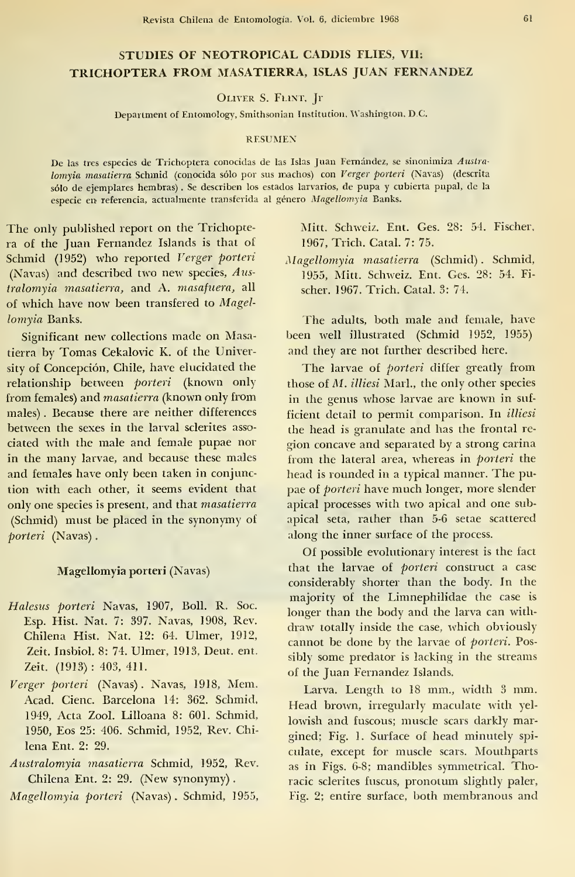# STUDIES OF NEOTROPICAL CADDIS FLIES, VII: TRICHOPTERA FROM MASATIERRA, ISLAS JUAN FERNANDEZ

Oliver S. Flint, Ji

Department of Entomology, Smithsonian Institution, Washington, D.C.

### **RESUMEN**

De las tres especies de Trichoptera conocidas de las Islas Juan Fernández, se sinonimiza Australomyia masatierra Schmid (conocida sólo por sus machos) con Verger porteri (Navas) (descrita sólo de ejemplares hembras) . Se describen los estados larvarios, de pupa <sup>y</sup> cubierta pupal, de la especie en referencia, actualmente transferida al género Magellomyia Banks.

The only published report on the Trichoptera of the Juan Fernandez Islands is that of Schmid (1952) who reported Verger porteri (Navas) and described two new species, Australomyia masatíerra, and A. masafuera, all of which have now been transfered to Magellomyia Banks.

Significant new collections made on Masatierra by Tomas Cekalovic K. of the University of Concepción, Chile, have elucidated the relationship between porteri (known only from females) and masatíerra (known only from males) . Because there are neither differenees between the sexes in the larval sclerites associated with the male and female pupae ñor in the many larvae, and because these males and females have only been taken in conjunction with each other, it seems evident that only one species is present, and that masatíerra (Schmid) must be placed in the synonymy of porteri (Navas)

## Magellomyia porteri (Navas)

- Halesus porteri Navas, 1907, Boll. R. Soc. Esp. Hist. Nat. 7: 397. Navas, 1908, Rev. Chilena Hist. Nat. 12: 64. Ulmer, 1912, Zeit. Insbiol. 8: 74. Ulmer, 1913, Deut. ent. Zeit. (1913) : 403, 411.
- Verger porteri (Navas) . Navas, 1918, Mem. Acad. Cienc. Barcelona 14: 362. Schmid, 1949, Acta Zool. Lilloana 8: 601. Schmid, 1950, Eos 25: 406. Schmid, 1952, Rev. Chilena Ent. 2: 29.
- Australomyia masatíerra Schmid, 1952, Rev. Chilena Ent. 2: 29. (New synonymy)

Magellomyia porteri (Navas) . Schmid, 1955,

Mitt. Schweiz. Ent. Ges. 28: 54. Fischer, 1967, Trich. Catal. 7: 75.

Magellomyia masatíerra (Schmid) . Schmid, 1955, Mitt. Schweiz. Ent. Ges. 28: 54. Fi scher. 1967. Trich. Catal. 3: 74.

The adults, both male and female, have been well illustrated (Schmid 1952, 1955) and they are not further described here.

The larvae of *porteri* differ greatly from those of M. illiesi Marl., the only other species in the genus whose larvae are known in suf ficient detail to permit comparison. In illiesi the head is granulate and has the frontal región concave and separated by a strong carina from the lateral area, whereas in *porteri* the head is rounded in <sup>a</sup> typical manner. The pu pae of porteri have much longer, more slender apical processes with two apical and one subapical seta, rather than 5-6 setae scattered along the inner surface of the process.

Of possible evolutionary interest is the fact that the larvae of porteri construct a case considerably shorter than the body. In the majority of the Limnephilidae the case is longer than the body and the larva can with draw totally inside the case, which obviously cannot be done by the larvae of porteri. Possibly some predator is lacking in the streams of the Juan Fernandez Islands.

Larva. Length to <sup>18</sup> mm., width <sup>3</sup> mm. Head brown, irregularly maculate with yellowish and fuscous; muscle scars darkly margined; Fig. 1. Surface of head minutely spi culate, except for muscle scars. Mouthparts as in Figs. 6-8; mandibles symmetrical. Thoracic selerites fuscus, pronotum slightly paler, Fig. 2; entire surface, both membranous and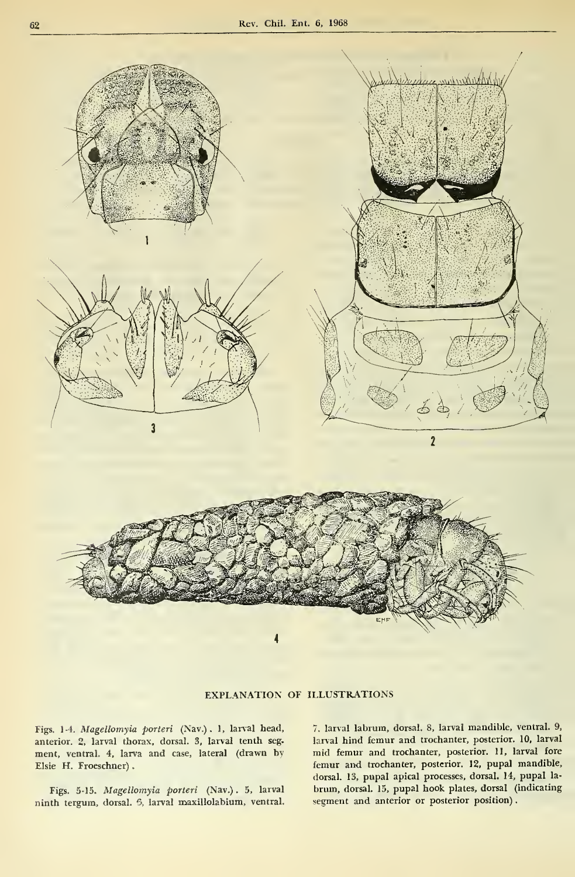

EXPLANATION OF ILLUSTRATIONS

Figs. 1-4. Magellomyia porteri (Nav.) . 1, larval head, anterior. 2, larval thorax, dorsal. 3, larval tenth seg. ment, ventral. 4, larva and case, lateral (drawn by Elsie H. Froeschner)

Figs. 5-15. Magellomyia porteri (Nav.) . 5, larval ninth tergum, dorsal. 6, larval maxillolabium, ventral. 7. larval labrum, dorsal. 8, larval mandible, ventral. 9, larval hind fémur and trochanter, posterior. 10, larval mid fémur and trochanter, posterior. 11, larval fore femur and trochanter, posterior. 12, pupal mandible, dorsal. 13, pupal apical processes, dorsal. 14, pupal la brum, dorsal. 15, pupal hook plates, dorsal (indicating segment and anterior or posterior position).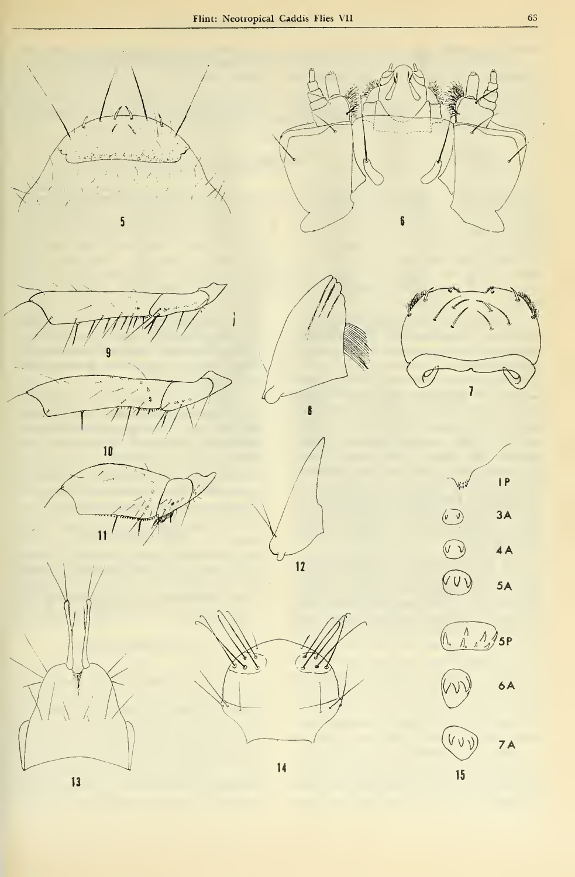